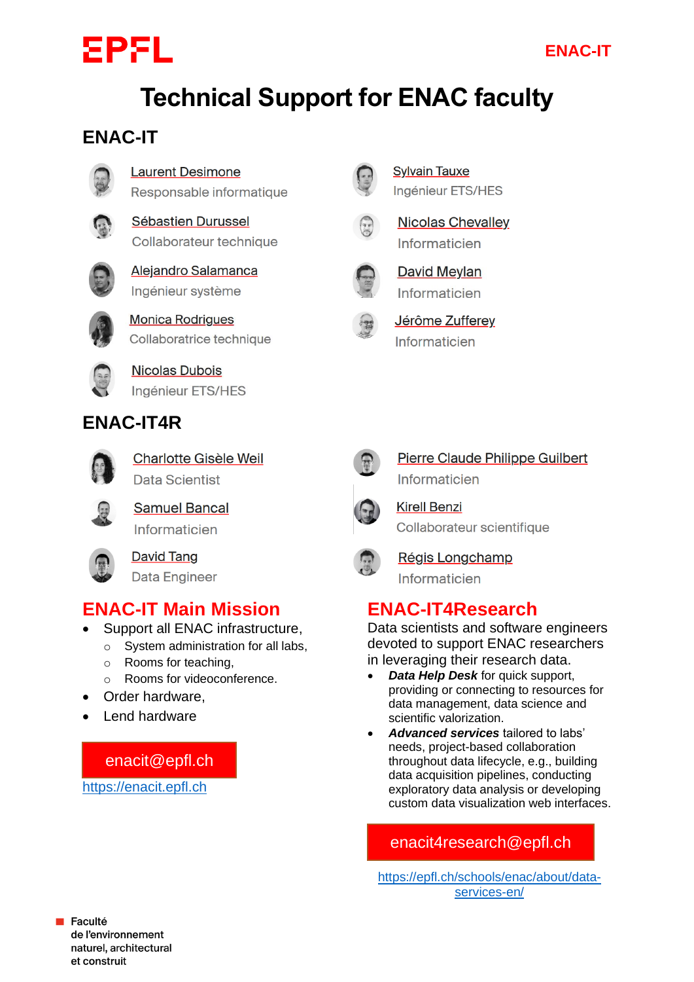# EPFL

# **Technical Support for ENAC faculty**

#### **ENAC-IT**



#### **Laurent Desimone**

Responsable informatique



#### **Sébastien Durussel** Collaborateur technique



Alejandro Salamanca Ingénieur système



**Monica Rodrigues** Collaboratrice technique



**Nicolas Dubois** Ingénieur ETS/HES

#### **ENAC-IT4R**



Charlotte Gisèle Weil **Data Scientist** 



**Samuel Bancal** Informaticien

**David Tang Data Engineer** 

### **ENAC-IT Main Mission**

- Support all ENAC infrastructure,
	- o System administration for all labs,
		- o Rooms for teaching,
		- o Rooms for videoconference.
- Order hardware,
- Lend hardware

enacit@epfl.ch

[https://enacit.epfl.ch](https://enacit.epfl.ch/)



**Sylvain Tauxe** Ingénieur ETS/HES



**Nicolas Chevalley** Informaticien



**David Meylan** Informaticien



Jérôme Zufferey Informaticien



Pierre Claude Philippe Guilbert Informaticien



**Kirell Benzi** Collaborateur scientifique



Régis Longchamp Informaticien

### **ENAC-IT4Research**

Data scientists and software engineers devoted to support ENAC researchers in leveraging their research data.

- *Data Help Desk* for quick support, providing or connecting to resources for data management, data science and scientific valorization.
- *Advanced services* tailored to labs' needs, project-based collaboration throughout data lifecycle, e.g., building data acquisition pipelines, conducting exploratory data analysis or developing custom data visualization web interfaces.

#### enacit4research@epfl.ch

[https://epfl.ch/schools/enac/about/data](https://epfl.ch/schools/enac/about/data-services-en/)[services-en/](https://epfl.ch/schools/enac/about/data-services-en/)